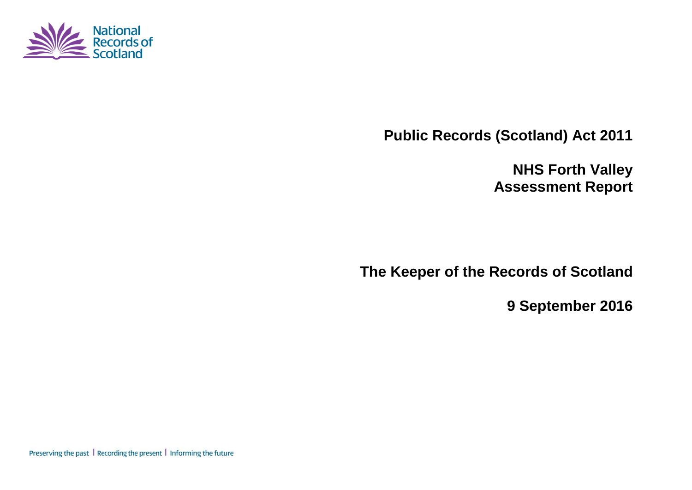

**Public Records (Scotland) Act 2011**

**NHS Forth Valley Assessment Report**

**The Keeper of the Records of Scotland**

**9 September 2016**

Preserving the past | Recording the present | Informing the future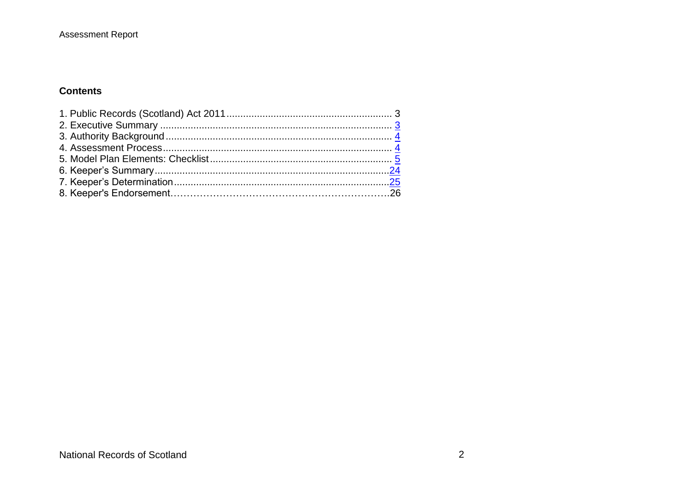### **Assessment Report**

### **Contents**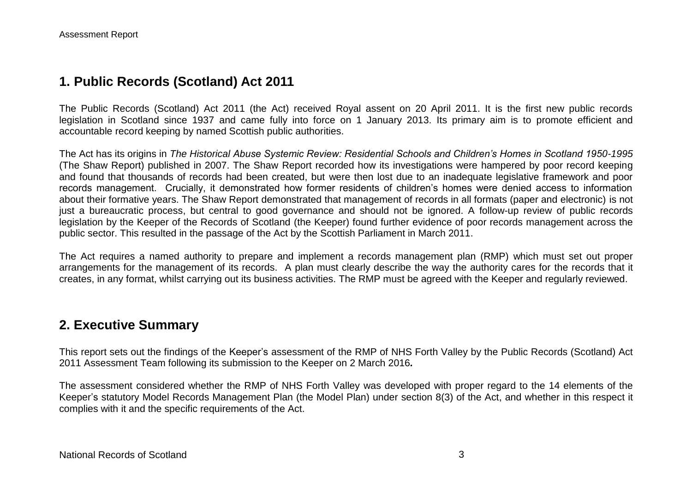## **1. Public Records (Scotland) Act 2011**

The Public Records (Scotland) Act 2011 (the Act) received Royal assent on 20 April 2011. It is the first new public records legislation in Scotland since 1937 and came fully into force on 1 January 2013. Its primary aim is to promote efficient and accountable record keeping by named Scottish public authorities.

The Act has its origins in *The Historical Abuse Systemic Review: Residential Schools and Children's Homes in Scotland 1950-1995* (The Shaw Report) published in 2007. The Shaw Report recorded how its investigations were hampered by poor record keeping and found that thousands of records had been created, but were then lost due to an inadequate legislative framework and poor records management. Crucially, it demonstrated how former residents of children's homes were denied access to information about their formative years. The Shaw Report demonstrated that management of records in all formats (paper and electronic) is not just a bureaucratic process, but central to good governance and should not be ignored. A follow-up review of public records legislation by the Keeper of the Records of Scotland (the Keeper) found further evidence of poor records management across the public sector. This resulted in the passage of the Act by the Scottish Parliament in March 2011.

The Act requires a named authority to prepare and implement a records management plan (RMP) which must set out proper arrangements for the management of its records. A plan must clearly describe the way the authority cares for the records that it creates, in any format, whilst carrying out its business activities. The RMP must be agreed with the Keeper and regularly reviewed.

## **2. Executive Summary**

This report sets out the findings of the Keeper's assessment of the RMP of NHS Forth Valley by the Public Records (Scotland) Act 2011 Assessment Team following its submission to the Keeper on 2 March 2016*.*

The assessment considered whether the RMP of NHS Forth Valley was developed with proper regard to the 14 elements of the Keeper's statutory Model Records Management Plan (the Model Plan) under section 8(3) of the Act, and whether in this respect it complies with it and the specific requirements of the Act.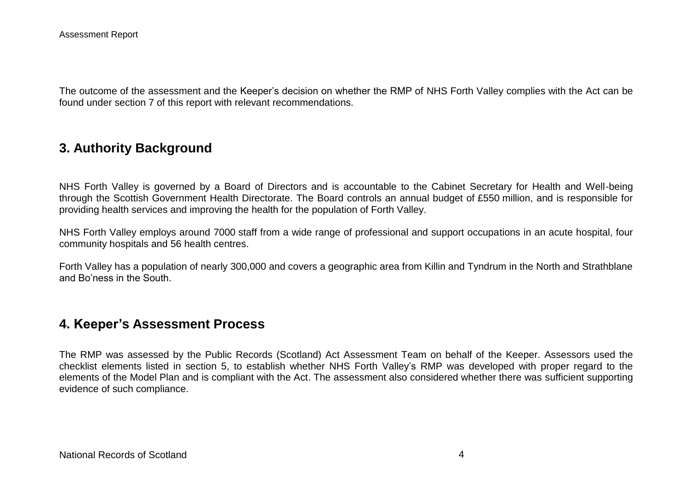The outcome of the assessment and the Keeper's decision on whether the RMP of NHS Forth Valley complies with the Act can be found under section 7 of this report with relevant recommendations.

## **3. Authority Background**

NHS Forth Valley is governed by a Board of Directors and is accountable to the Cabinet Secretary for Health and Well-being through the Scottish Government Health Directorate. The Board controls an annual budget of £550 million, and is responsible for providing health services and improving the health for the population of Forth Valley.

NHS Forth Valley employs around 7000 staff from a wide range of professional and support occupations in an acute hospital, four community hospitals and 56 health centres.

Forth Valley has a population of nearly 300,000 and covers a geographic area from Killin and Tyndrum in the North and Strathblane and Bo'ness in the South.

## **4. Keeper's Assessment Process**

The RMP was assessed by the Public Records (Scotland) Act Assessment Team on behalf of the Keeper. Assessors used the checklist elements listed in section 5, to establish whether NHS Forth Valley's RMP was developed with proper regard to the elements of the Model Plan and is compliant with the Act. The assessment also considered whether there was sufficient supporting evidence of such compliance.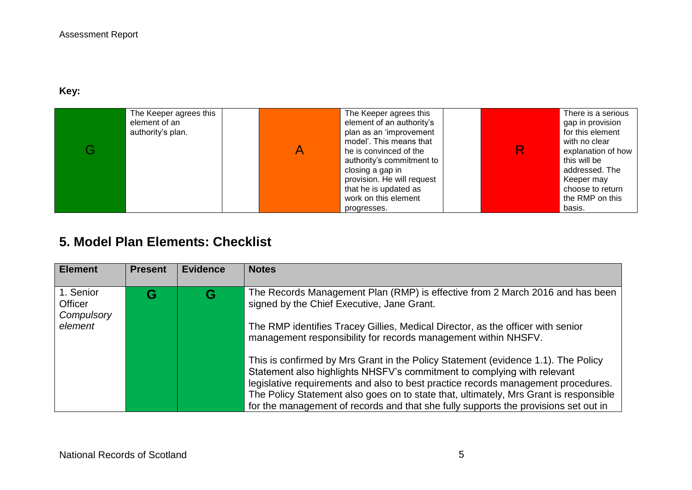## **Key:**

| The Keeper agrees this<br>element of an<br>authority's plan. | The Keeper agrees this<br>element of an authority's<br>plan as an 'improvement<br>model'. This means that<br>he is convinced of the<br>authority's commitment to<br>closing a gap in<br>provision. He will request<br>that he is updated as<br>work on this element | R | There is a serious<br>gap in provision<br>for this element<br>with no clear<br>explanation of how<br>this will be<br>addressed. The<br>Keeper may<br>choose to return<br>the RMP on this |
|--------------------------------------------------------------|---------------------------------------------------------------------------------------------------------------------------------------------------------------------------------------------------------------------------------------------------------------------|---|------------------------------------------------------------------------------------------------------------------------------------------------------------------------------------------|
|                                                              | progresses.                                                                                                                                                                                                                                                         |   | basis.                                                                                                                                                                                   |

# **5. Model Plan Elements: Checklist**

| <b>Element</b>                                | <b>Present</b> | <b>Evidence</b> | <b>Notes</b>                                                                                                                                                                                                                                                                                                                                                                                                                                                                                                                          |
|-----------------------------------------------|----------------|-----------------|---------------------------------------------------------------------------------------------------------------------------------------------------------------------------------------------------------------------------------------------------------------------------------------------------------------------------------------------------------------------------------------------------------------------------------------------------------------------------------------------------------------------------------------|
| 1. Senior<br>Officer<br>Compulsory<br>element | G              | G               | The Records Management Plan (RMP) is effective from 2 March 2016 and has been<br>signed by the Chief Executive, Jane Grant.<br>The RMP identifies Tracey Gillies, Medical Director, as the officer with senior<br>management responsibility for records management within NHSFV.<br>This is confirmed by Mrs Grant in the Policy Statement (evidence 1.1). The Policy<br>Statement also highlights NHSFV's commitment to complying with relevant<br>legislative requirements and also to best practice records management procedures. |
|                                               |                |                 | The Policy Statement also goes on to state that, ultimately, Mrs Grant is responsible<br>for the management of records and that she fully supports the provisions set out in                                                                                                                                                                                                                                                                                                                                                          |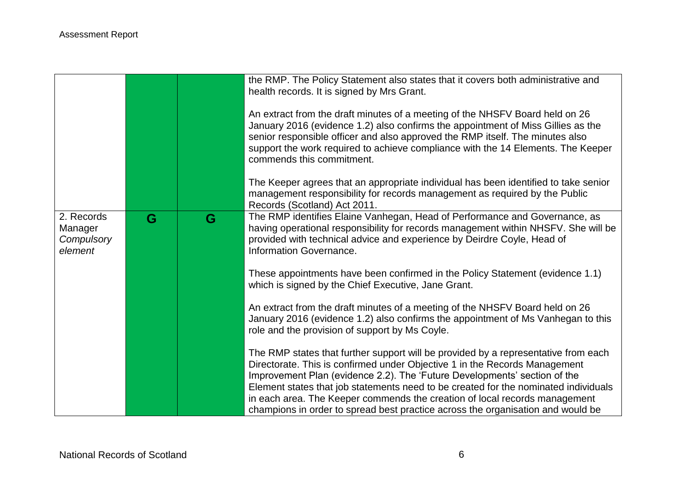|                       |   |   | the RMP. The Policy Statement also states that it covers both administrative and<br>health records. It is signed by Mrs Grant.<br>An extract from the draft minutes of a meeting of the NHSFV Board held on 26<br>January 2016 (evidence 1.2) also confirms the appointment of Miss Gillies as the<br>senior responsible officer and also approved the RMP itself. The minutes also<br>support the work required to achieve compliance with the 14 Elements. The Keeper<br>commends this commitment.<br>The Keeper agrees that an appropriate individual has been identified to take senior<br>management responsibility for records management as required by the Public |
|-----------------------|---|---|---------------------------------------------------------------------------------------------------------------------------------------------------------------------------------------------------------------------------------------------------------------------------------------------------------------------------------------------------------------------------------------------------------------------------------------------------------------------------------------------------------------------------------------------------------------------------------------------------------------------------------------------------------------------------|
| 2. Records<br>Manager | G | G | Records (Scotland) Act 2011.<br>The RMP identifies Elaine Vanhegan, Head of Performance and Governance, as<br>having operational responsibility for records management within NHSFV. She will be                                                                                                                                                                                                                                                                                                                                                                                                                                                                          |
| Compulsory<br>element |   |   | provided with technical advice and experience by Deirdre Coyle, Head of<br>Information Governance.                                                                                                                                                                                                                                                                                                                                                                                                                                                                                                                                                                        |
|                       |   |   | These appointments have been confirmed in the Policy Statement (evidence 1.1)<br>which is signed by the Chief Executive, Jane Grant.                                                                                                                                                                                                                                                                                                                                                                                                                                                                                                                                      |
|                       |   |   | An extract from the draft minutes of a meeting of the NHSFV Board held on 26<br>January 2016 (evidence 1.2) also confirms the appointment of Ms Vanhegan to this<br>role and the provision of support by Ms Coyle.                                                                                                                                                                                                                                                                                                                                                                                                                                                        |
|                       |   |   | The RMP states that further support will be provided by a representative from each<br>Directorate. This is confirmed under Objective 1 in the Records Management<br>Improvement Plan (evidence 2.2). The 'Future Developments' section of the                                                                                                                                                                                                                                                                                                                                                                                                                             |
|                       |   |   | Element states that job statements need to be created for the nominated individuals<br>in each area. The Keeper commends the creation of local records management<br>champions in order to spread best practice across the organisation and would be                                                                                                                                                                                                                                                                                                                                                                                                                      |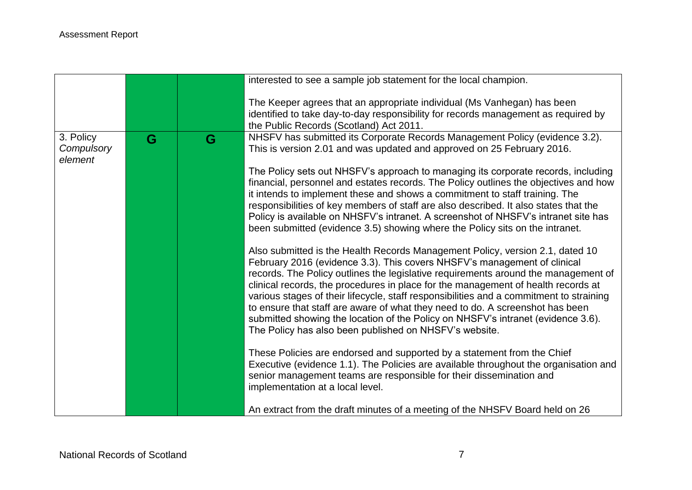|                                    |   |   | interested to see a sample job statement for the local champion.                                                                                                                                                                                                                                                                                                                                                                                                                                                                                                                                                                                               |
|------------------------------------|---|---|----------------------------------------------------------------------------------------------------------------------------------------------------------------------------------------------------------------------------------------------------------------------------------------------------------------------------------------------------------------------------------------------------------------------------------------------------------------------------------------------------------------------------------------------------------------------------------------------------------------------------------------------------------------|
|                                    |   |   | The Keeper agrees that an appropriate individual (Ms Vanhegan) has been<br>identified to take day-to-day responsibility for records management as required by<br>the Public Records (Scotland) Act 2011.                                                                                                                                                                                                                                                                                                                                                                                                                                                       |
| 3. Policy<br>Compulsory<br>element | G | G | NHSFV has submitted its Corporate Records Management Policy (evidence 3.2).<br>This is version 2.01 and was updated and approved on 25 February 2016.                                                                                                                                                                                                                                                                                                                                                                                                                                                                                                          |
|                                    |   |   | The Policy sets out NHSFV's approach to managing its corporate records, including<br>financial, personnel and estates records. The Policy outlines the objectives and how<br>it intends to implement these and shows a commitment to staff training. The<br>responsibilities of key members of staff are also described. It also states that the<br>Policy is available on NHSFV's intranet. A screenshot of NHSFV's intranet site has<br>been submitted (evidence 3.5) showing where the Policy sits on the intranet.                                                                                                                                         |
|                                    |   |   | Also submitted is the Health Records Management Policy, version 2.1, dated 10<br>February 2016 (evidence 3.3). This covers NHSFV's management of clinical<br>records. The Policy outlines the legislative requirements around the management of<br>clinical records, the procedures in place for the management of health records at<br>various stages of their lifecycle, staff responsibilities and a commitment to straining<br>to ensure that staff are aware of what they need to do. A screenshot has been<br>submitted showing the location of the Policy on NHSFV's intranet (evidence 3.6).<br>The Policy has also been published on NHSFV's website. |
|                                    |   |   | These Policies are endorsed and supported by a statement from the Chief<br>Executive (evidence 1.1). The Policies are available throughout the organisation and<br>senior management teams are responsible for their dissemination and<br>implementation at a local level.                                                                                                                                                                                                                                                                                                                                                                                     |
|                                    |   |   | An extract from the draft minutes of a meeting of the NHSFV Board held on 26                                                                                                                                                                                                                                                                                                                                                                                                                                                                                                                                                                                   |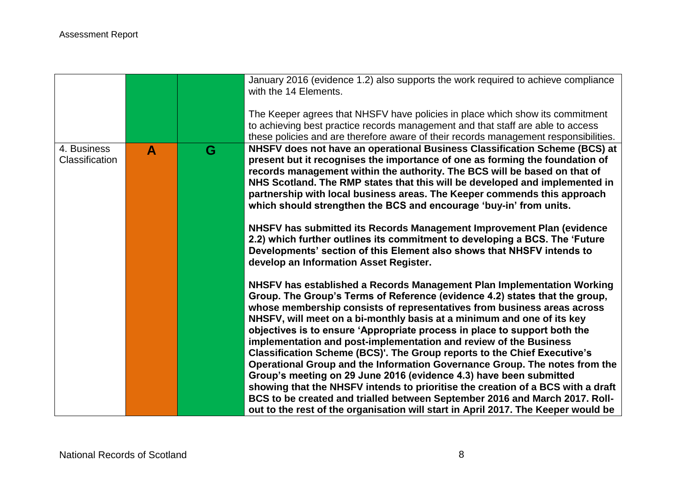|                |   |   | January 2016 (evidence 1.2) also supports the work required to achieve compliance<br>with the 14 Elements.<br>The Keeper agrees that NHSFV have policies in place which show its commitment<br>to achieving best practice records management and that staff are able to access<br>these policies and are therefore aware of their records management responsibilities.                                                                                                                                                                                                                                                                                                                                                                                                                                                                                                                                                                              |
|----------------|---|---|-----------------------------------------------------------------------------------------------------------------------------------------------------------------------------------------------------------------------------------------------------------------------------------------------------------------------------------------------------------------------------------------------------------------------------------------------------------------------------------------------------------------------------------------------------------------------------------------------------------------------------------------------------------------------------------------------------------------------------------------------------------------------------------------------------------------------------------------------------------------------------------------------------------------------------------------------------|
| 4. Business    | A | G | NHSFV does not have an operational Business Classification Scheme (BCS) at                                                                                                                                                                                                                                                                                                                                                                                                                                                                                                                                                                                                                                                                                                                                                                                                                                                                          |
| Classification |   |   | present but it recognises the importance of one as forming the foundation of<br>records management within the authority. The BCS will be based on that of<br>NHS Scotland. The RMP states that this will be developed and implemented in<br>partnership with local business areas. The Keeper commends this approach<br>which should strengthen the BCS and encourage 'buy-in' from units.<br>NHSFV has submitted its Records Management Improvement Plan (evidence<br>2.2) which further outlines its commitment to developing a BCS. The 'Future<br>Developments' section of this Element also shows that NHSFV intends to<br>develop an Information Asset Register.                                                                                                                                                                                                                                                                              |
|                |   |   | NHSFV has established a Records Management Plan Implementation Working<br>Group. The Group's Terms of Reference (evidence 4.2) states that the group,<br>whose membership consists of representatives from business areas across<br>NHSFV, will meet on a bi-monthly basis at a minimum and one of its key<br>objectives is to ensure 'Appropriate process in place to support both the<br>implementation and post-implementation and review of the Business<br>Classification Scheme (BCS)'. The Group reports to the Chief Executive's<br>Operational Group and the Information Governance Group. The notes from the<br>Group's meeting on 29 June 2016 (evidence 4.3) have been submitted<br>showing that the NHSFV intends to prioritise the creation of a BCS with a draft<br>BCS to be created and trialled between September 2016 and March 2017. Roll-<br>out to the rest of the organisation will start in April 2017. The Keeper would be |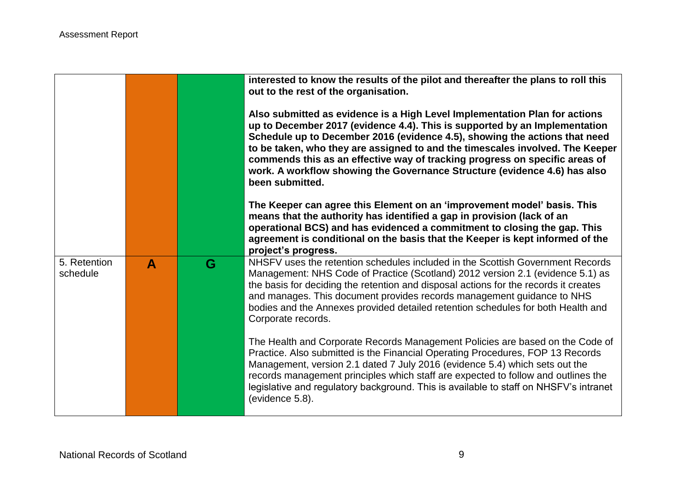|                          |              |   | interested to know the results of the pilot and thereafter the plans to roll this<br>out to the rest of the organisation.<br>Also submitted as evidence is a High Level Implementation Plan for actions<br>up to December 2017 (evidence 4.4). This is supported by an Implementation<br>Schedule up to December 2016 (evidence 4.5), showing the actions that need<br>to be taken, who they are assigned to and the timescales involved. The Keeper<br>commends this as an effective way of tracking progress on specific areas of<br>work. A workflow showing the Governance Structure (evidence 4.6) has also<br>been submitted.<br>The Keeper can agree this Element on an 'improvement model' basis. This<br>means that the authority has identified a gap in provision (lack of an<br>operational BCS) and has evidenced a commitment to closing the gap. This<br>agreement is conditional on the basis that the Keeper is kept informed of the<br>project's progress. |
|--------------------------|--------------|---|------------------------------------------------------------------------------------------------------------------------------------------------------------------------------------------------------------------------------------------------------------------------------------------------------------------------------------------------------------------------------------------------------------------------------------------------------------------------------------------------------------------------------------------------------------------------------------------------------------------------------------------------------------------------------------------------------------------------------------------------------------------------------------------------------------------------------------------------------------------------------------------------------------------------------------------------------------------------------|
| 5. Retention<br>schedule | $\mathbf{A}$ | G | NHSFV uses the retention schedules included in the Scottish Government Records<br>Management: NHS Code of Practice (Scotland) 2012 version 2.1 (evidence 5.1) as<br>the basis for deciding the retention and disposal actions for the records it creates<br>and manages. This document provides records management guidance to NHS<br>bodies and the Annexes provided detailed retention schedules for both Health and<br>Corporate records.                                                                                                                                                                                                                                                                                                                                                                                                                                                                                                                                 |
|                          |              |   | The Health and Corporate Records Management Policies are based on the Code of<br>Practice. Also submitted is the Financial Operating Procedures, FOP 13 Records<br>Management, version 2.1 dated 7 July 2016 (evidence 5.4) which sets out the<br>records management principles which staff are expected to follow and outlines the<br>legislative and regulatory background. This is available to staff on NHSFV's intranet<br>(evidence 5.8).                                                                                                                                                                                                                                                                                                                                                                                                                                                                                                                              |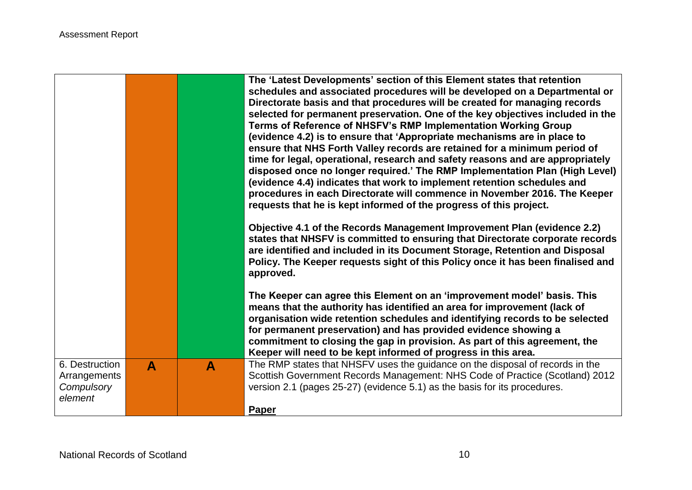|                                |                  |   | The 'Latest Developments' section of this Element states that retention<br>schedules and associated procedures will be developed on a Departmental or<br>Directorate basis and that procedures will be created for managing records<br>selected for permanent preservation. One of the key objectives included in the<br>Terms of Reference of NHSFV's RMP Implementation Working Group<br>(evidence 4.2) is to ensure that 'Appropriate mechanisms are in place to<br>ensure that NHS Forth Valley records are retained for a minimum period of<br>time for legal, operational, research and safety reasons and are appropriately<br>disposed once no longer required.' The RMP Implementation Plan (High Level)<br>(evidence 4.4) indicates that work to implement retention schedules and<br>procedures in each Directorate will commence in November 2016. The Keeper<br>requests that he is kept informed of the progress of this project.<br>Objective 4.1 of the Records Management Improvement Plan (evidence 2.2)<br>states that NHSFV is committed to ensuring that Directorate corporate records<br>are identified and included in its Document Storage, Retention and Disposal<br>Policy. The Keeper requests sight of this Policy once it has been finalised and<br>approved.<br>The Keeper can agree this Element on an 'improvement model' basis. This<br>means that the authority has identified an area for improvement (lack of<br>organisation wide retention schedules and identifying records to be selected<br>for permanent preservation) and has provided evidence showing a<br>commitment to closing the gap in provision. As part of this agreement, the<br>Keeper will need to be kept informed of progress in this area. |
|--------------------------------|------------------|---|------------------------------------------------------------------------------------------------------------------------------------------------------------------------------------------------------------------------------------------------------------------------------------------------------------------------------------------------------------------------------------------------------------------------------------------------------------------------------------------------------------------------------------------------------------------------------------------------------------------------------------------------------------------------------------------------------------------------------------------------------------------------------------------------------------------------------------------------------------------------------------------------------------------------------------------------------------------------------------------------------------------------------------------------------------------------------------------------------------------------------------------------------------------------------------------------------------------------------------------------------------------------------------------------------------------------------------------------------------------------------------------------------------------------------------------------------------------------------------------------------------------------------------------------------------------------------------------------------------------------------------------------------------------------------------------------------------------------------------------------------|
| 6. Destruction<br>Arrangements | $\blacktriangle$ | A | The RMP states that NHSFV uses the guidance on the disposal of records in the<br>Scottish Government Records Management: NHS Code of Practice (Scotland) 2012                                                                                                                                                                                                                                                                                                                                                                                                                                                                                                                                                                                                                                                                                                                                                                                                                                                                                                                                                                                                                                                                                                                                                                                                                                                                                                                                                                                                                                                                                                                                                                                        |
| Compulsory                     |                  |   | version 2.1 (pages 25-27) (evidence 5.1) as the basis for its procedures.                                                                                                                                                                                                                                                                                                                                                                                                                                                                                                                                                                                                                                                                                                                                                                                                                                                                                                                                                                                                                                                                                                                                                                                                                                                                                                                                                                                                                                                                                                                                                                                                                                                                            |
| element                        |                  |   | Paper                                                                                                                                                                                                                                                                                                                                                                                                                                                                                                                                                                                                                                                                                                                                                                                                                                                                                                                                                                                                                                                                                                                                                                                                                                                                                                                                                                                                                                                                                                                                                                                                                                                                                                                                                |
|                                |                  |   |                                                                                                                                                                                                                                                                                                                                                                                                                                                                                                                                                                                                                                                                                                                                                                                                                                                                                                                                                                                                                                                                                                                                                                                                                                                                                                                                                                                                                                                                                                                                                                                                                                                                                                                                                      |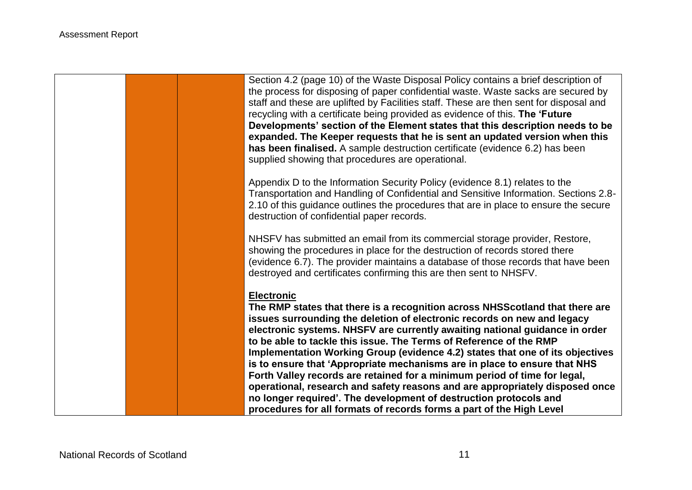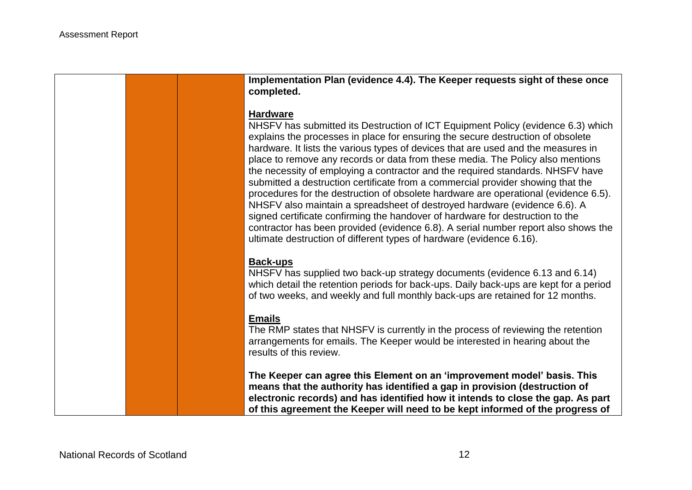**Implementation Plan (evidence 4.4). The Keeper requests sight of these once completed.**

#### **Hardware**

NHSFV has submitted its Destruction of ICT Equipment Policy (evidence 6.3) which explains the processes in place for ensuring the secure destruction of obsolete hardware. It lists the various types of devices that are used and the measures in place to remove any records or data from these media. The Policy also mentions the necessity of employing a contractor and the required standards. NHSFV have submitted a destruction certificate from a commercial provider showing that the procedures for the destruction of obsolete hardware are operational (evidence 6.5). NHSFV also maintain a spreadsheet of destroyed hardware (evidence 6.6). A signed certificate confirming the handover of hardware for destruction to the contractor has been provided (evidence 6.8). A serial number report also shows the ultimate destruction of different types of hardware (evidence 6.16).

### **Back-ups**

NHSFV has supplied two back-up strategy documents (evidence 6.13 and 6.14) which detail the retention periods for back-ups. Daily back-ups are kept for a period of two weeks, and weekly and full monthly back-ups are retained for 12 months.

### **Emails**

The RMP states that NHSFV is currently in the process of reviewing the retention arrangements for emails. The Keeper would be interested in hearing about the results of this review.

**The Keeper can agree this Element on an 'improvement model' basis. This means that the authority has identified a gap in provision (destruction of electronic records) and has identified how it intends to close the gap. As part of this agreement the Keeper will need to be kept informed of the progress of**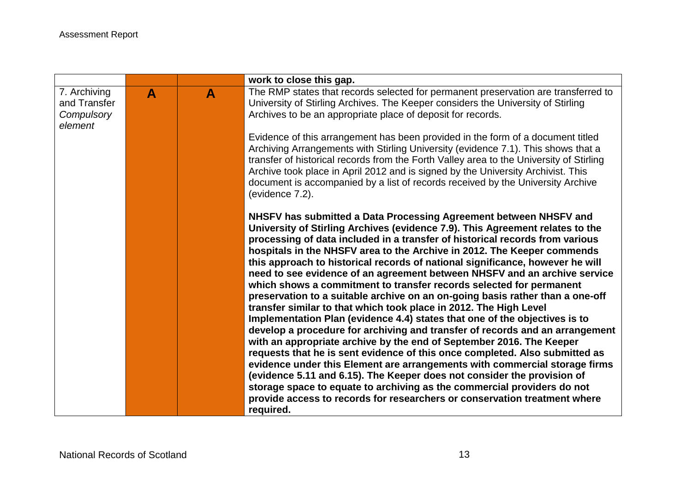|                              |                  |                  | work to close this gap.                                                                                                                                                                                                                                                                                                                                                                                                                                                                                                                                                                                                                                                                                                                                                                                                                                                                                                                                                                                                                                                                                                                                                                |
|------------------------------|------------------|------------------|----------------------------------------------------------------------------------------------------------------------------------------------------------------------------------------------------------------------------------------------------------------------------------------------------------------------------------------------------------------------------------------------------------------------------------------------------------------------------------------------------------------------------------------------------------------------------------------------------------------------------------------------------------------------------------------------------------------------------------------------------------------------------------------------------------------------------------------------------------------------------------------------------------------------------------------------------------------------------------------------------------------------------------------------------------------------------------------------------------------------------------------------------------------------------------------|
| 7. Archiving<br>and Transfer | $\blacktriangle$ | $\blacktriangle$ | The RMP states that records selected for permanent preservation are transferred to<br>University of Stirling Archives. The Keeper considers the University of Stirling                                                                                                                                                                                                                                                                                                                                                                                                                                                                                                                                                                                                                                                                                                                                                                                                                                                                                                                                                                                                                 |
| Compulsory                   |                  |                  | Archives to be an appropriate place of deposit for records.                                                                                                                                                                                                                                                                                                                                                                                                                                                                                                                                                                                                                                                                                                                                                                                                                                                                                                                                                                                                                                                                                                                            |
| element                      |                  |                  |                                                                                                                                                                                                                                                                                                                                                                                                                                                                                                                                                                                                                                                                                                                                                                                                                                                                                                                                                                                                                                                                                                                                                                                        |
|                              |                  |                  | Evidence of this arrangement has been provided in the form of a document titled<br>Archiving Arrangements with Stirling University (evidence 7.1). This shows that a<br>transfer of historical records from the Forth Valley area to the University of Stirling<br>Archive took place in April 2012 and is signed by the University Archivist. This<br>document is accompanied by a list of records received by the University Archive<br>(evidence 7.2).                                                                                                                                                                                                                                                                                                                                                                                                                                                                                                                                                                                                                                                                                                                              |
|                              |                  |                  | NHSFV has submitted a Data Processing Agreement between NHSFV and<br>University of Stirling Archives (evidence 7.9). This Agreement relates to the<br>processing of data included in a transfer of historical records from various<br>hospitals in the NHSFV area to the Archive in 2012. The Keeper commends<br>this approach to historical records of national significance, however he will<br>need to see evidence of an agreement between NHSFV and an archive service<br>which shows a commitment to transfer records selected for permanent<br>preservation to a suitable archive on an on-going basis rather than a one-off<br>transfer similar to that which took place in 2012. The High Level<br>Implementation Plan (evidence 4.4) states that one of the objectives is to<br>develop a procedure for archiving and transfer of records and an arrangement<br>with an appropriate archive by the end of September 2016. The Keeper<br>requests that he is sent evidence of this once completed. Also submitted as<br>evidence under this Element are arrangements with commercial storage firms<br>(evidence 5.11 and 6.15). The Keeper does not consider the provision of |
|                              |                  |                  | storage space to equate to archiving as the commercial providers do not<br>provide access to records for researchers or conservation treatment where                                                                                                                                                                                                                                                                                                                                                                                                                                                                                                                                                                                                                                                                                                                                                                                                                                                                                                                                                                                                                                   |
|                              |                  |                  | required.                                                                                                                                                                                                                                                                                                                                                                                                                                                                                                                                                                                                                                                                                                                                                                                                                                                                                                                                                                                                                                                                                                                                                                              |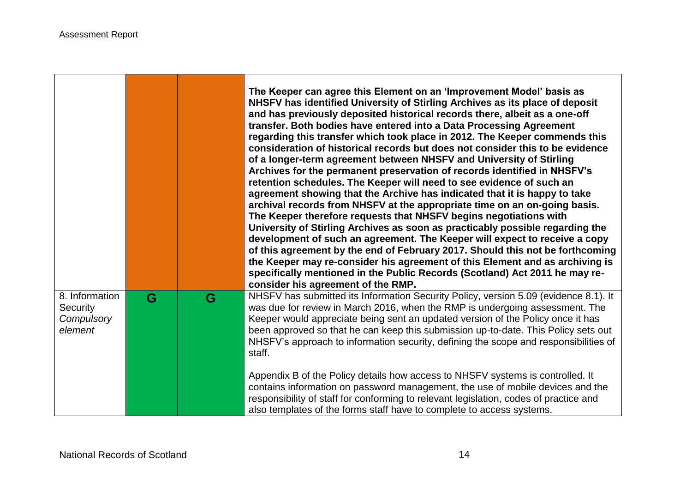and the company's company's company's company's company's company's company's company's company's company's company's

|                                                     |   |   | The Keeper can agree this Element on an 'Improvement Model' basis as<br>NHSFV has identified University of Stirling Archives as its place of deposit<br>and has previously deposited historical records there, albeit as a one-off<br>transfer. Both bodies have entered into a Data Processing Agreement<br>regarding this transfer which took place in 2012. The Keeper commends this<br>consideration of historical records but does not consider this to be evidence<br>of a longer-term agreement between NHSFV and University of Stirling<br>Archives for the permanent preservation of records identified in NHSFV's<br>retention schedules. The Keeper will need to see evidence of such an<br>agreement showing that the Archive has indicated that it is happy to take<br>archival records from NHSFV at the appropriate time on an on-going basis.<br>The Keeper therefore requests that NHSFV begins negotiations with<br>University of Stirling Archives as soon as practicably possible regarding the<br>development of such an agreement. The Keeper will expect to receive a copy<br>of this agreement by the end of February 2017. Should this not be forthcoming<br>the Keeper may re-consider his agreement of this Element and as archiving is<br>specifically mentioned in the Public Records (Scotland) Act 2011 he may re-<br>consider his agreement of the RMP. |
|-----------------------------------------------------|---|---|-----------------------------------------------------------------------------------------------------------------------------------------------------------------------------------------------------------------------------------------------------------------------------------------------------------------------------------------------------------------------------------------------------------------------------------------------------------------------------------------------------------------------------------------------------------------------------------------------------------------------------------------------------------------------------------------------------------------------------------------------------------------------------------------------------------------------------------------------------------------------------------------------------------------------------------------------------------------------------------------------------------------------------------------------------------------------------------------------------------------------------------------------------------------------------------------------------------------------------------------------------------------------------------------------------------------------------------------------------------------------------------------|
| 8. Information<br>Security<br>Compulsory<br>element | G | G | NHSFV has submitted its Information Security Policy, version 5.09 (evidence 8.1). It<br>was due for review in March 2016, when the RMP is undergoing assessment. The<br>Keeper would appreciate being sent an updated version of the Policy once it has<br>been approved so that he can keep this submission up-to-date. This Policy sets out<br>NHSFV's approach to information security, defining the scope and responsibilities of<br>staff.<br>Appendix B of the Policy details how access to NHSFV systems is controlled. It<br>contains information on password management, the use of mobile devices and the<br>responsibility of staff for conforming to relevant legislation, codes of practice and<br>also templates of the forms staff have to complete to access systems.                                                                                                                                                                                                                                                                                                                                                                                                                                                                                                                                                                                                   |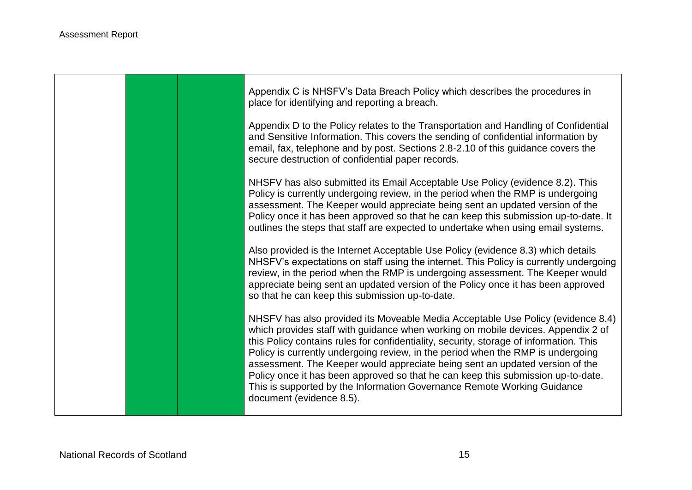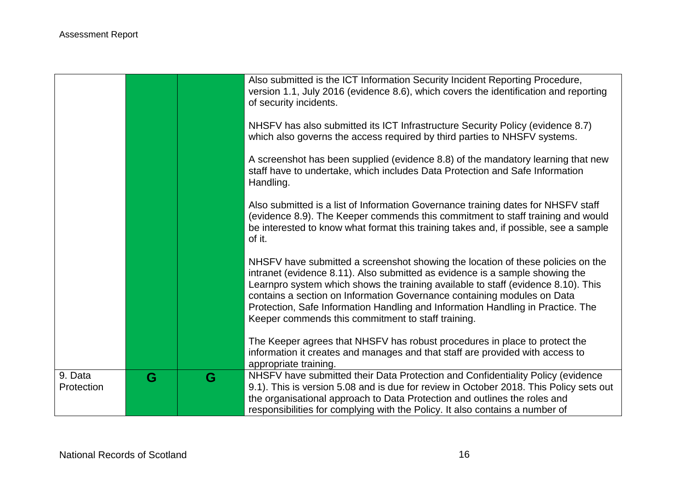|                       |   |   | Also submitted is the ICT Information Security Incident Reporting Procedure,<br>version 1.1, July 2016 (evidence 8.6), which covers the identification and reporting<br>of security incidents.                                                                                                                                                                                                                                                                           |
|-----------------------|---|---|--------------------------------------------------------------------------------------------------------------------------------------------------------------------------------------------------------------------------------------------------------------------------------------------------------------------------------------------------------------------------------------------------------------------------------------------------------------------------|
|                       |   |   | NHSFV has also submitted its ICT Infrastructure Security Policy (evidence 8.7)<br>which also governs the access required by third parties to NHSFV systems.                                                                                                                                                                                                                                                                                                              |
|                       |   |   | A screenshot has been supplied (evidence 8.8) of the mandatory learning that new<br>staff have to undertake, which includes Data Protection and Safe Information<br>Handling.                                                                                                                                                                                                                                                                                            |
|                       |   |   | Also submitted is a list of Information Governance training dates for NHSFV staff<br>(evidence 8.9). The Keeper commends this commitment to staff training and would<br>be interested to know what format this training takes and, if possible, see a sample<br>of it.                                                                                                                                                                                                   |
|                       |   |   | NHSFV have submitted a screenshot showing the location of these policies on the<br>intranet (evidence 8.11). Also submitted as evidence is a sample showing the<br>Learnpro system which shows the training available to staff (evidence 8.10). This<br>contains a section on Information Governance containing modules on Data<br>Protection, Safe Information Handling and Information Handling in Practice. The<br>Keeper commends this commitment to staff training. |
|                       |   |   | The Keeper agrees that NHSFV has robust procedures in place to protect the<br>information it creates and manages and that staff are provided with access to<br>appropriate training.                                                                                                                                                                                                                                                                                     |
| 9. Data<br>Protection | G | G | NHSFV have submitted their Data Protection and Confidentiality Policy (evidence<br>9.1). This is version 5.08 and is due for review in October 2018. This Policy sets out<br>the organisational approach to Data Protection and outlines the roles and<br>responsibilities for complying with the Policy. It also contains a number of                                                                                                                                   |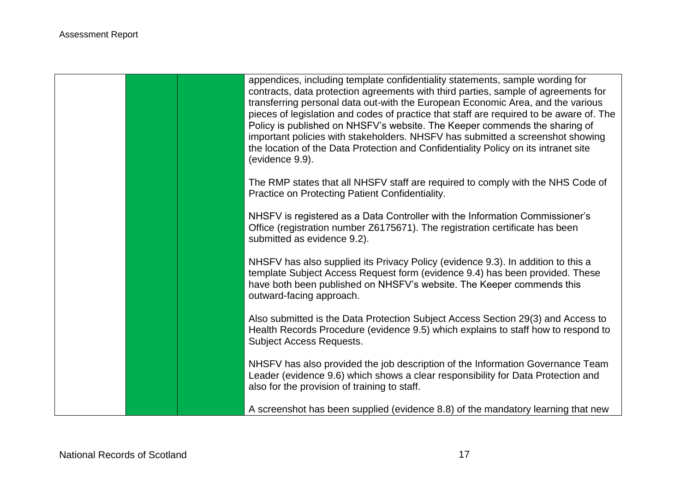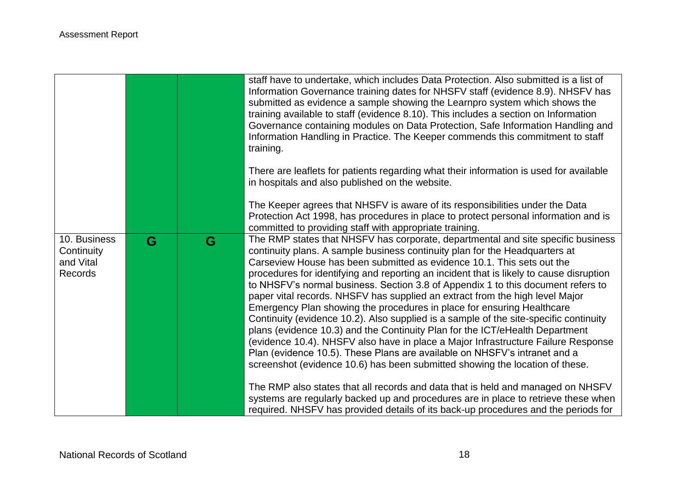|                                                           |   |   | staff have to undertake, which includes Data Protection. Also submitted is a list of<br>Information Governance training dates for NHSFV staff (evidence 8.9). NHSFV has<br>submitted as evidence a sample showing the Learnpro system which shows the<br>training available to staff (evidence 8.10). This includes a section on Information<br>Governance containing modules on Data Protection, Safe Information Handling and<br>Information Handling in Practice. The Keeper commends this commitment to staff<br>training.                                                                                                                                                                                                                                                                                                                                                                                                                                                                                |
|-----------------------------------------------------------|---|---|---------------------------------------------------------------------------------------------------------------------------------------------------------------------------------------------------------------------------------------------------------------------------------------------------------------------------------------------------------------------------------------------------------------------------------------------------------------------------------------------------------------------------------------------------------------------------------------------------------------------------------------------------------------------------------------------------------------------------------------------------------------------------------------------------------------------------------------------------------------------------------------------------------------------------------------------------------------------------------------------------------------|
|                                                           |   |   | There are leaflets for patients regarding what their information is used for available<br>in hospitals and also published on the website.                                                                                                                                                                                                                                                                                                                                                                                                                                                                                                                                                                                                                                                                                                                                                                                                                                                                     |
|                                                           |   |   | The Keeper agrees that NHSFV is aware of its responsibilities under the Data<br>Protection Act 1998, has procedures in place to protect personal information and is<br>committed to providing staff with appropriate training.                                                                                                                                                                                                                                                                                                                                                                                                                                                                                                                                                                                                                                                                                                                                                                                |
| 10. Business<br>Continuity<br>and Vital<br><b>Records</b> | G | G | The RMP states that NHSFV has corporate, departmental and site specific business<br>continuity plans. A sample business continuity plan for the Headquarters at<br>Carseview House has been submitted as evidence 10.1. This sets out the<br>procedures for identifying and reporting an incident that is likely to cause disruption<br>to NHSFV's normal business. Section 3.8 of Appendix 1 to this document refers to<br>paper vital records. NHSFV has supplied an extract from the high level Major<br>Emergency Plan showing the procedures in place for ensuring Healthcare<br>Continuity (evidence 10.2). Also supplied is a sample of the site-specific continuity<br>plans (evidence 10.3) and the Continuity Plan for the ICT/eHealth Department<br>(evidence 10.4). NHSFV also have in place a Major Infrastructure Failure Response<br>Plan (evidence 10.5). These Plans are available on NHSFV's intranet and a<br>screenshot (evidence 10.6) has been submitted showing the location of these. |
|                                                           |   |   | The RMP also states that all records and data that is held and managed on NHSFV<br>systems are regularly backed up and procedures are in place to retrieve these when<br>required. NHSFV has provided details of its back-up procedures and the periods for                                                                                                                                                                                                                                                                                                                                                                                                                                                                                                                                                                                                                                                                                                                                                   |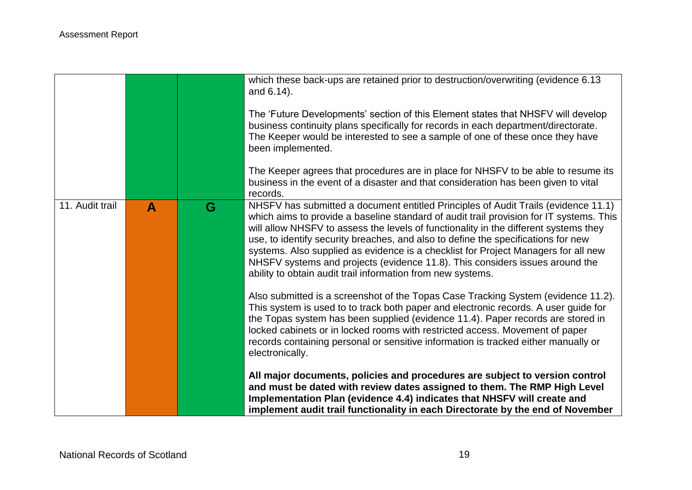|                 |                  |   | which these back-ups are retained prior to destruction/overwriting (evidence 6.13<br>and 6.14).<br>The 'Future Developments' section of this Element states that NHSFV will develop<br>business continuity plans specifically for records in each department/directorate.<br>The Keeper would be interested to see a sample of one of these once they have<br>been implemented.<br>The Keeper agrees that procedures are in place for NHSFV to be able to resume its<br>business in the event of a disaster and that consideration has been given to vital<br>records.                          |
|-----------------|------------------|---|-------------------------------------------------------------------------------------------------------------------------------------------------------------------------------------------------------------------------------------------------------------------------------------------------------------------------------------------------------------------------------------------------------------------------------------------------------------------------------------------------------------------------------------------------------------------------------------------------|
| 11. Audit trail | $\blacktriangle$ | G | NHSFV has submitted a document entitled Principles of Audit Trails (evidence 11.1)<br>which aims to provide a baseline standard of audit trail provision for IT systems. This<br>will allow NHSFV to assess the levels of functionality in the different systems they<br>use, to identify security breaches, and also to define the specifications for new<br>systems. Also supplied as evidence is a checklist for Project Managers for all new<br>NHSFV systems and projects (evidence 11.8). This considers issues around the<br>ability to obtain audit trail information from new systems. |
|                 |                  |   | Also submitted is a screenshot of the Topas Case Tracking System (evidence 11.2).<br>This system is used to to track both paper and electronic records. A user guide for<br>the Topas system has been supplied (evidence 11.4). Paper records are stored in<br>locked cabinets or in locked rooms with restricted access. Movement of paper<br>records containing personal or sensitive information is tracked either manually or<br>electronically.                                                                                                                                            |
|                 |                  |   | All major documents, policies and procedures are subject to version control<br>and must be dated with review dates assigned to them. The RMP High Level<br>Implementation Plan (evidence 4.4) indicates that NHSFV will create and<br>implement audit trail functionality in each Directorate by the end of November                                                                                                                                                                                                                                                                            |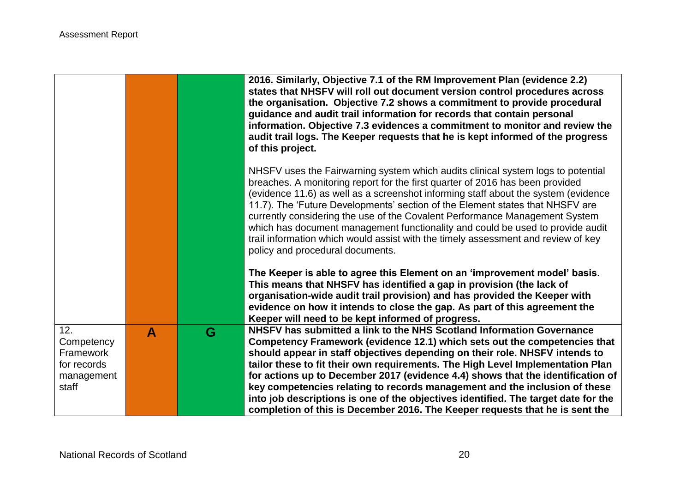|             |                  |   | 2016. Similarly, Objective 7.1 of the RM Improvement Plan (evidence 2.2)<br>states that NHSFV will roll out document version control procedures across<br>the organisation. Objective 7.2 shows a commitment to provide procedural<br>guidance and audit trail information for records that contain personal<br>information. Objective 7.3 evidences a commitment to monitor and review the<br>audit trail logs. The Keeper requests that he is kept informed of the progress<br>of this project.                                                                                                                                  |
|-------------|------------------|---|------------------------------------------------------------------------------------------------------------------------------------------------------------------------------------------------------------------------------------------------------------------------------------------------------------------------------------------------------------------------------------------------------------------------------------------------------------------------------------------------------------------------------------------------------------------------------------------------------------------------------------|
|             |                  |   | NHSFV uses the Fairwarning system which audits clinical system logs to potential<br>breaches. A monitoring report for the first quarter of 2016 has been provided<br>(evidence 11.6) as well as a screenshot informing staff about the system (evidence<br>11.7). The 'Future Developments' section of the Element states that NHSFV are<br>currently considering the use of the Covalent Performance Management System<br>which has document management functionality and could be used to provide audit<br>trail information which would assist with the timely assessment and review of key<br>policy and procedural documents. |
|             |                  |   | The Keeper is able to agree this Element on an 'improvement model' basis.<br>This means that NHSFV has identified a gap in provision (the lack of<br>organisation-wide audit trail provision) and has provided the Keeper with<br>evidence on how it intends to close the gap. As part of this agreement the<br>Keeper will need to be kept informed of progress.                                                                                                                                                                                                                                                                  |
| 12.         | $\blacktriangle$ | G | NHSFV has submitted a link to the NHS Scotland Information Governance                                                                                                                                                                                                                                                                                                                                                                                                                                                                                                                                                              |
| Competency  |                  |   | Competency Framework (evidence 12.1) which sets out the competencies that                                                                                                                                                                                                                                                                                                                                                                                                                                                                                                                                                          |
| Framework   |                  |   | should appear in staff objectives depending on their role. NHSFV intends to                                                                                                                                                                                                                                                                                                                                                                                                                                                                                                                                                        |
| for records |                  |   | tailor these to fit their own requirements. The High Level Implementation Plan                                                                                                                                                                                                                                                                                                                                                                                                                                                                                                                                                     |
| management  |                  |   | for actions up to December 2017 (evidence 4.4) shows that the identification of                                                                                                                                                                                                                                                                                                                                                                                                                                                                                                                                                    |
| staff       |                  |   | key competencies relating to records management and the inclusion of these                                                                                                                                                                                                                                                                                                                                                                                                                                                                                                                                                         |
|             |                  |   | into job descriptions is one of the objectives identified. The target date for the                                                                                                                                                                                                                                                                                                                                                                                                                                                                                                                                                 |
|             |                  |   | completion of this is December 2016. The Keeper requests that he is sent the                                                                                                                                                                                                                                                                                                                                                                                                                                                                                                                                                       |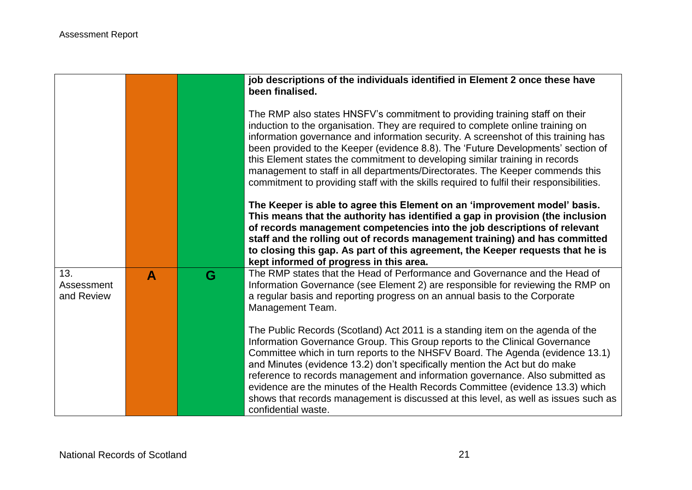|                                 |   |   | job descriptions of the individuals identified in Element 2 once these have<br>been finalised.                                                                                                                                                                                                                                                                                                                                                                                                                                                                                                                 |
|---------------------------------|---|---|----------------------------------------------------------------------------------------------------------------------------------------------------------------------------------------------------------------------------------------------------------------------------------------------------------------------------------------------------------------------------------------------------------------------------------------------------------------------------------------------------------------------------------------------------------------------------------------------------------------|
|                                 |   |   | The RMP also states HNSFV's commitment to providing training staff on their<br>induction to the organisation. They are required to complete online training on<br>information governance and information security. A screenshot of this training has<br>been provided to the Keeper (evidence 8.8). The 'Future Developments' section of<br>this Element states the commitment to developing similar training in records<br>management to staff in all departments/Directorates. The Keeper commends this<br>commitment to providing staff with the skills required to fulfil their responsibilities.          |
|                                 |   |   | The Keeper is able to agree this Element on an 'improvement model' basis.<br>This means that the authority has identified a gap in provision (the inclusion<br>of records management competencies into the job descriptions of relevant<br>staff and the rolling out of records management training) and has committed<br>to closing this gap. As part of this agreement, the Keeper requests that he is<br>kept informed of progress in this area.                                                                                                                                                            |
| 13.<br>Assessment<br>and Review | A | G | The RMP states that the Head of Performance and Governance and the Head of<br>Information Governance (see Element 2) are responsible for reviewing the RMP on<br>a regular basis and reporting progress on an annual basis to the Corporate<br>Management Team.                                                                                                                                                                                                                                                                                                                                                |
|                                 |   |   | The Public Records (Scotland) Act 2011 is a standing item on the agenda of the<br>Information Governance Group. This Group reports to the Clinical Governance<br>Committee which in turn reports to the NHSFV Board. The Agenda (evidence 13.1)<br>and Minutes (evidence 13.2) don't specifically mention the Act but do make<br>reference to records management and information governance. Also submitted as<br>evidence are the minutes of the Health Records Committee (evidence 13.3) which<br>shows that records management is discussed at this level, as well as issues such as<br>confidential waste. |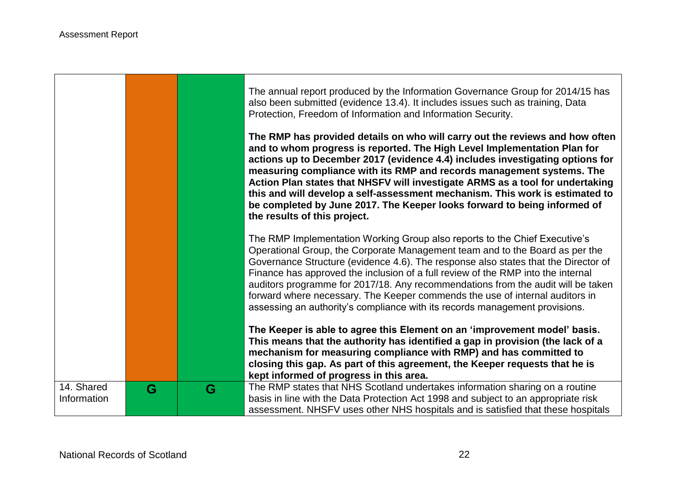$\blacksquare$ 

m.

the control of the control of the control of the control of the control of

|                           |   |   | The annual report produced by the Information Governance Group for 2014/15 has<br>also been submitted (evidence 13.4). It includes issues such as training, Data<br>Protection, Freedom of Information and Information Security.<br>The RMP has provided details on who will carry out the reviews and how often<br>and to whom progress is reported. The High Level Implementation Plan for<br>actions up to December 2017 (evidence 4.4) includes investigating options for<br>measuring compliance with its RMP and records management systems. The<br>Action Plan states that NHSFV will investigate ARMS as a tool for undertaking<br>this and will develop a self-assessment mechanism. This work is estimated to<br>be completed by June 2017. The Keeper looks forward to being informed of<br>the results of this project. |
|---------------------------|---|---|-------------------------------------------------------------------------------------------------------------------------------------------------------------------------------------------------------------------------------------------------------------------------------------------------------------------------------------------------------------------------------------------------------------------------------------------------------------------------------------------------------------------------------------------------------------------------------------------------------------------------------------------------------------------------------------------------------------------------------------------------------------------------------------------------------------------------------------|
|                           |   |   | The RMP Implementation Working Group also reports to the Chief Executive's<br>Operational Group, the Corporate Management team and to the Board as per the<br>Governance Structure (evidence 4.6). The response also states that the Director of<br>Finance has approved the inclusion of a full review of the RMP into the internal<br>auditors programme for 2017/18. Any recommendations from the audit will be taken<br>forward where necessary. The Keeper commends the use of internal auditors in<br>assessing an authority's compliance with its records management provisions.                                                                                                                                                                                                                                             |
|                           |   |   | The Keeper is able to agree this Element on an 'improvement model' basis.<br>This means that the authority has identified a gap in provision (the lack of a<br>mechanism for measuring compliance with RMP) and has committed to<br>closing this gap. As part of this agreement, the Keeper requests that he is<br>kept informed of progress in this area.                                                                                                                                                                                                                                                                                                                                                                                                                                                                          |
| 14. Shared<br>Information | G | G | The RMP states that NHS Scotland undertakes information sharing on a routine<br>basis in line with the Data Protection Act 1998 and subject to an appropriate risk<br>assessment. NHSFV uses other NHS hospitals and is satisfied that these hospitals                                                                                                                                                                                                                                                                                                                                                                                                                                                                                                                                                                              |

┑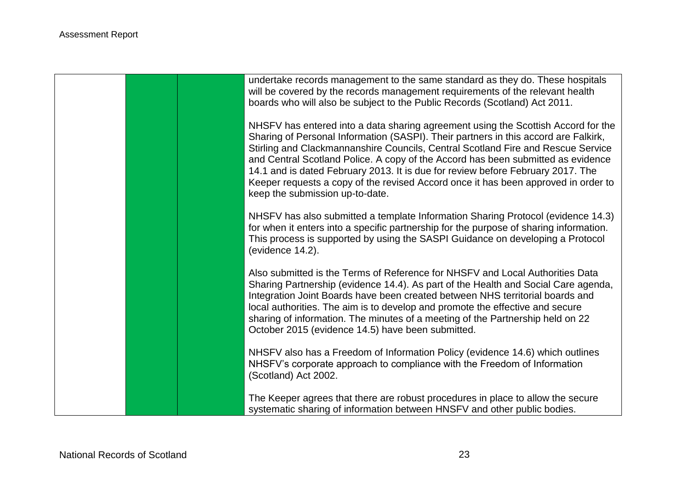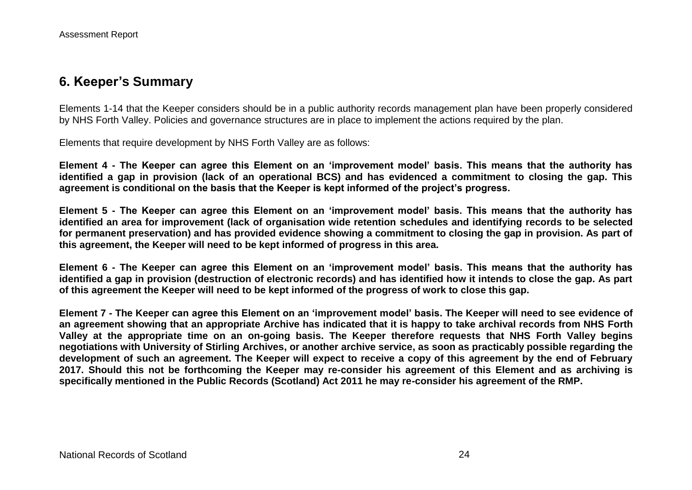## **6. Keeper's Summary**

Elements 1-14 that the Keeper considers should be in a public authority records management plan have been properly considered by NHS Forth Valley. Policies and governance structures are in place to implement the actions required by the plan.

Elements that require development by NHS Forth Valley are as follows:

**Element 4 - The Keeper can agree this Element on an 'improvement model' basis. This means that the authority has identified a gap in provision (lack of an operational BCS) and has evidenced a commitment to closing the gap. This agreement is conditional on the basis that the Keeper is kept informed of the project's progress.**

**Element 5 - The Keeper can agree this Element on an 'improvement model' basis. This means that the authority has identified an area for improvement (lack of organisation wide retention schedules and identifying records to be selected for permanent preservation) and has provided evidence showing a commitment to closing the gap in provision. As part of this agreement, the Keeper will need to be kept informed of progress in this area.**

**Element 6 - The Keeper can agree this Element on an 'improvement model' basis. This means that the authority has identified a gap in provision (destruction of electronic records) and has identified how it intends to close the gap. As part of this agreement the Keeper will need to be kept informed of the progress of work to close this gap.** 

**Element 7 - The Keeper can agree this Element on an 'improvement model' basis. The Keeper will need to see evidence of an agreement showing that an appropriate Archive has indicated that it is happy to take archival records from NHS Forth Valley at the appropriate time on an on-going basis. The Keeper therefore requests that NHS Forth Valley begins negotiations with University of Stirling Archives, or another archive service, as soon as practicably possible regarding the development of such an agreement. The Keeper will expect to receive a copy of this agreement by the end of February 2017. Should this not be forthcoming the Keeper may re-consider his agreement of this Element and as archiving is specifically mentioned in the Public Records (Scotland) Act 2011 he may re-consider his agreement of the RMP.**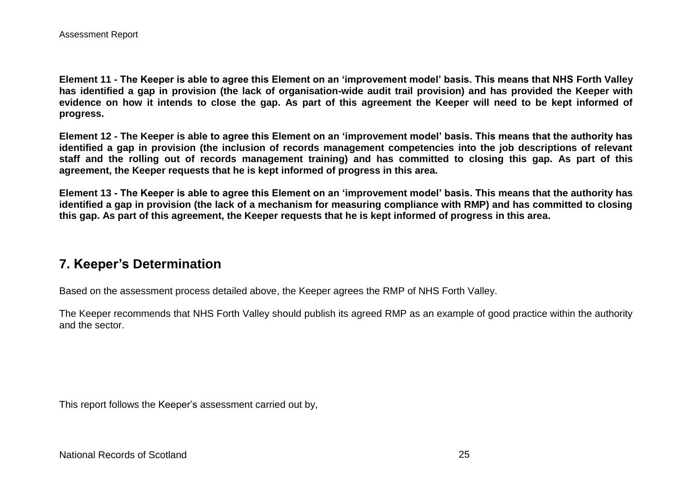**Element 11 - The Keeper is able to agree this Element on an 'improvement model' basis. This means that NHS Forth Valley has identified a gap in provision (the lack of organisation-wide audit trail provision) and has provided the Keeper with evidence on how it intends to close the gap. As part of this agreement the Keeper will need to be kept informed of progress.**

**Element 12 - The Keeper is able to agree this Element on an 'improvement model' basis. This means that the authority has identified a gap in provision (the inclusion of records management competencies into the job descriptions of relevant staff and the rolling out of records management training) and has committed to closing this gap. As part of this agreement, the Keeper requests that he is kept informed of progress in this area.**

**Element 13 - The Keeper is able to agree this Element on an 'improvement model' basis. This means that the authority has identified a gap in provision (the lack of a mechanism for measuring compliance with RMP) and has committed to closing this gap. As part of this agreement, the Keeper requests that he is kept informed of progress in this area.**

## **7. Keeper's Determination**

Based on the assessment process detailed above, the Keeper agrees the RMP of NHS Forth Valley.

The Keeper recommends that NHS Forth Valley should publish its agreed RMP as an example of good practice within the authority and the sector.

This report follows the Keeper's assessment carried out by,